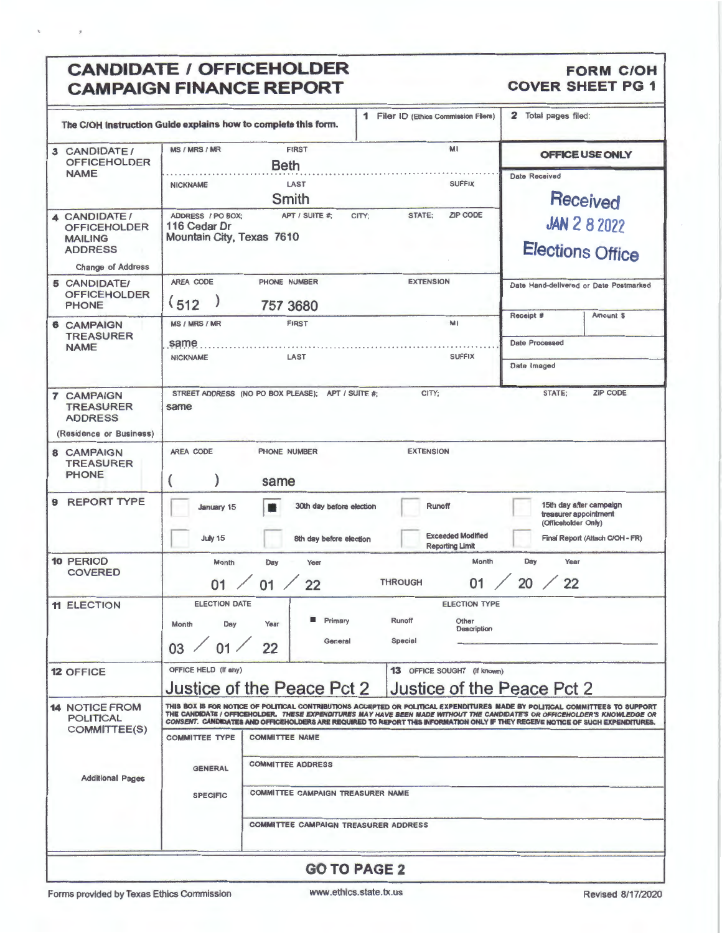# CANDIDATE / OFFICEHOLDER FORM COH
FORM COVER SHEET PG 1 **CAMPAIGN FINANCE REPORT**

 $\bar{a}$ 

 $\boldsymbol{\tau}$ 

|                                                                                                      | The C/OH Instruction Guide explains how to complete this form.                                                                                                                                                                                                                                                                                                                                | 1 Filer ID (Ethics Commission Filers)                             | Total pages filed:<br>2                                                                                    |  |  |  |  |
|------------------------------------------------------------------------------------------------------|-----------------------------------------------------------------------------------------------------------------------------------------------------------------------------------------------------------------------------------------------------------------------------------------------------------------------------------------------------------------------------------------------|-------------------------------------------------------------------|------------------------------------------------------------------------------------------------------------|--|--|--|--|
| 3 CANDIDATE/<br><b>OFFICEHOLDER</b>                                                                  | <b>MS / MRS / MR</b><br><b>FIRST</b><br><b>Beth</b>                                                                                                                                                                                                                                                                                                                                           | MI                                                                | OFFICE USE ONLY                                                                                            |  |  |  |  |
| <b>NAME</b>                                                                                          | LAST<br><b>NICKNAME</b><br>Smith                                                                                                                                                                                                                                                                                                                                                              | <b>SUFFIX</b>                                                     | <b>Date Received</b><br>Received                                                                           |  |  |  |  |
| 4 CANDIDATE /<br><b>OFFICEHOLDER</b><br><b>MAILING</b><br><b>ADDRESS</b><br><b>Change of Address</b> | ADDRESS / PO BOX:<br>APT / SUITE #<br>116 Cedar Dr<br>Mountain City, Texas 7610                                                                                                                                                                                                                                                                                                               | <b>ZIP CODE</b><br>CITY:<br>STATE:                                | <b>JAN 2 8 2022</b><br><b>Elections Office</b>                                                             |  |  |  |  |
| <b>5 CANDIDATE/</b><br><b>OFFICEHOLDER</b><br><b>PHONE</b>                                           | AREA CODE<br>PHONE NUMBER<br>(512)<br>757 3680                                                                                                                                                                                                                                                                                                                                                | <b>EXTENSION</b>                                                  | Date Hand-delivered or Date Postmarked<br>Receipt #<br>Amount \$                                           |  |  |  |  |
| <b>6 CAMPAIGN</b><br><b>TREASURER</b><br><b>NAME</b>                                                 | <b>MS / MRS / MR</b><br><b>FIRST</b><br>same                                                                                                                                                                                                                                                                                                                                                  | MI                                                                | <b>Date Processed</b>                                                                                      |  |  |  |  |
|                                                                                                      | <b>NICKNAME</b><br>LAST                                                                                                                                                                                                                                                                                                                                                                       | <b>SUFFIX</b>                                                     | Date Imaged                                                                                                |  |  |  |  |
| <b>7 CAMPAIGN</b><br><b>TREASURER</b><br><b>ADDRESS</b><br>(Residence or Business)                   | STREET ADDRESS (NO PO BOX PLEASE); APT / SUITE #;<br>same                                                                                                                                                                                                                                                                                                                                     | CITY;                                                             | <b>ZIP CODE</b><br><b>STATE:</b>                                                                           |  |  |  |  |
| 8 CAMPAIGN<br><b>TREASURER</b><br><b>PHONE</b>                                                       | AREA CODE<br>PHONE NUMBER<br>same                                                                                                                                                                                                                                                                                                                                                             | <b>EXTENSION</b>                                                  |                                                                                                            |  |  |  |  |
| 9 REPORT TYPE                                                                                        | 30th day before election<br>January 15<br>July 15<br>8th day before election                                                                                                                                                                                                                                                                                                                  | Runoff<br><b>Exceeded Modified</b><br><b>Reporting Limit</b>      | 15th day after campaign<br>treasurer appointment<br>(Officeholder Only)<br>Final Report (Attach C/OH - FR) |  |  |  |  |
| <b>10 PERIOD</b><br><b>COVERED</b>                                                                   | Month<br>Day<br>Year<br>$01$ $\angle$<br>22<br>01                                                                                                                                                                                                                                                                                                                                             | Month<br><b>THROUGH</b><br>01                                     | Day<br>Year<br>20 / 22                                                                                     |  |  |  |  |
| <b>11 ELECTION</b>                                                                                   | <b>ELECTION DATE</b><br>Primary<br>Month<br>Day<br>Year<br>General<br>03 / 01 / 22                                                                                                                                                                                                                                                                                                            | <b>ELECTION TYPE</b><br>Runoff<br>Other<br>Description<br>Special |                                                                                                            |  |  |  |  |
| <b>12 OFFICE</b>                                                                                     | OFFICE HELD (If any)<br>Justice of the Peace Pct 2                                                                                                                                                                                                                                                                                                                                            | 13 OFFICE SOUGHT (if known)<br>Justice of the Peace Pct 2         |                                                                                                            |  |  |  |  |
| <b>14 NOTICE FROM</b><br><b>POLITICAL</b><br>COMMITTEE(S)                                            | THIS BOX IS FOR NOTICE OF POLITICAL CONTRIBUTIONS ACCEPTED OR POLITICAL EXPENDITURES MADE BY POLITICAL COMMITTEES TO SUPPORT<br>THE CANDIDATE / OFFICEHOLDER. THESE EXPENDITURES MAY HAVE BEEN MADE WITHOUT THE CANDIDATE'S OR OFFICEHOLDER'S KNOWLEDGE OR<br>CONSENT. CANDIDATES AND OFFICEHOLDERS ARE REQUIRED TO REPORT THIS INFORMATION ONLY IF THEY RECEIVE NOTICE OF SUCH EXPENDITURES. |                                                                   |                                                                                                            |  |  |  |  |
|                                                                                                      | <b>COMMITTEE TYPE</b><br><b>COMMITTEE NAME</b><br><b>COMMITTEE ADDRESS</b>                                                                                                                                                                                                                                                                                                                    |                                                                   |                                                                                                            |  |  |  |  |
| <b>Additional Pages</b>                                                                              | <b>GENERAL</b><br>COMMITTEE CAMPAIGN TREASURER NAME<br><b>SPECIFIC</b>                                                                                                                                                                                                                                                                                                                        |                                                                   |                                                                                                            |  |  |  |  |
|                                                                                                      | <b>COMMITTEE CAMPAIGN TREASURER ADDRESS</b>                                                                                                                                                                                                                                                                                                                                                   |                                                                   |                                                                                                            |  |  |  |  |
|                                                                                                      |                                                                                                                                                                                                                                                                                                                                                                                               |                                                                   |                                                                                                            |  |  |  |  |
|                                                                                                      |                                                                                                                                                                                                                                                                                                                                                                                               | <b>GO TO PAGE 2</b>                                               |                                                                                                            |  |  |  |  |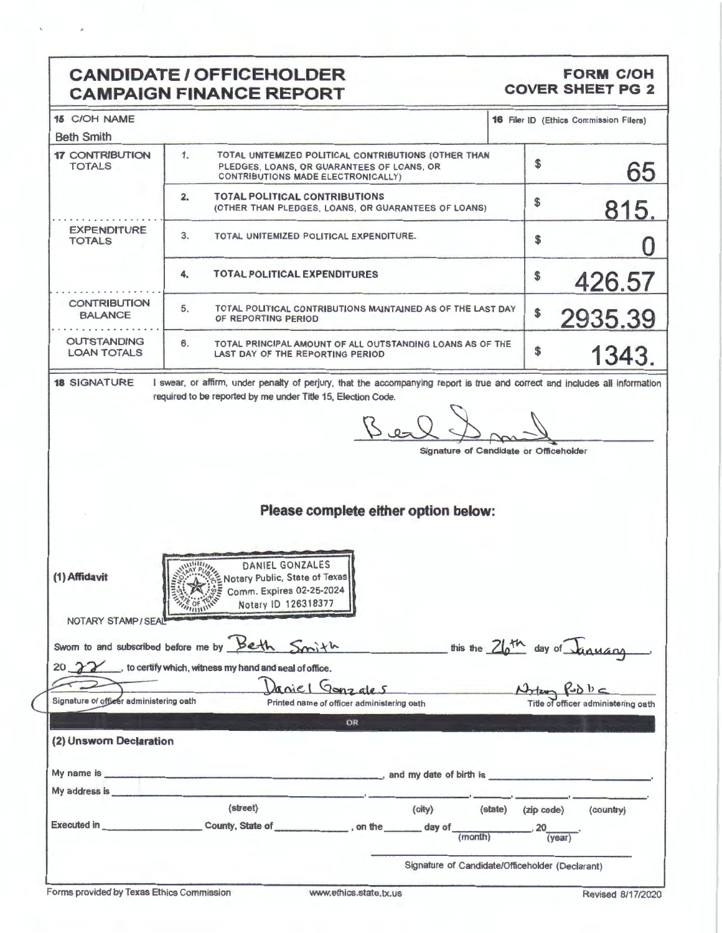# **CANDIDATE/ OFFICEHOLDER CAMPAIGN FINANCE REPORT**

### **FORM C/OH COVER SHEET PG 2**

| <b>15 C/OH NAME</b>                                                                                                                                                                                                                  |                                                                                                                                                                                                                                        |         |               | <b>16 Filer ID (Ethics Commission Filers)</b> |
|--------------------------------------------------------------------------------------------------------------------------------------------------------------------------------------------------------------------------------------|----------------------------------------------------------------------------------------------------------------------------------------------------------------------------------------------------------------------------------------|---------|---------------|-----------------------------------------------|
| <b>Beth Smith</b>                                                                                                                                                                                                                    |                                                                                                                                                                                                                                        |         |               |                                               |
| <b>17 CONTRIBUTION</b><br><b>TOTALS</b>                                                                                                                                                                                              | 1.<br>TOTAL UNITEMIZED POLITICAL CONTRIBUTIONS (OTHER THAN<br>PLEDGES, LOANS, OR GUARANTEES OF LOANS, OR<br>CONTRIBUTIONS MADE ELECTRONICALLY)                                                                                         |         | \$            | 65                                            |
|                                                                                                                                                                                                                                      | <b>TOTAL POLITICAL CONTRIBUTIONS</b><br>$\mathbf{2}$<br>(OTHER THAN PLEDGES, LOANS, OR GUARANTEES OF LOANS)                                                                                                                            |         | \$            | 815.                                          |
| <b>EXPENDITURE</b><br><b>TOTALS</b>                                                                                                                                                                                                  | 3.<br>TOTAL UNITEMIZED POLITICAL EXPENDITURE.                                                                                                                                                                                          |         | \$            |                                               |
|                                                                                                                                                                                                                                      | 4.<br><b>TOTAL POLITICAL EXPENDITURES</b>                                                                                                                                                                                              |         | \$            | 426.57                                        |
| <b>CONTRIBUTION</b><br><b>BALANCE</b>                                                                                                                                                                                                | 5.<br>TOTAL POLITICAL CONTRIBUTIONS MAINTAINED AS OF THE LAST DAY<br>OF REPORTING PERIOD                                                                                                                                               |         | \$            | 2935.39                                       |
| <b>OUTSTANDING</b><br><b>LOAN TOTALS</b>                                                                                                                                                                                             | 6.<br>TOTAL PRINCIPAL AMOUNT OF ALL OUTSTANDING LOANS AS OF THE<br>LAST DAY OF THE REPORTING PERIOD                                                                                                                                    |         | \$            | 1343.                                         |
| (1) Affidavit                                                                                                                                                                                                                        | Please complete either option below:<br>DANIEL GONZALES<br>Notary Public, State of Texas<br>Comm. Expires 02-25-2024                                                                                                                   |         |               |                                               |
| NOTARY STAMP/SEAL<br>Signature of officer administering oath                                                                                                                                                                         | Notary ID 126318377<br>Sworn to and subscribed before me by Beth Smith<br>this the 26th day of January<br>20 22 to certify which, witness my hand and seal of office.<br>Daniel Gonzales<br>Printed name of officer administering oath |         | $P\nabla b c$ | Title of officer administering oath           |
|                                                                                                                                                                                                                                      |                                                                                                                                                                                                                                        |         |               |                                               |
| (2) Unsworn Declaration                                                                                                                                                                                                              | OR                                                                                                                                                                                                                                     |         |               |                                               |
|                                                                                                                                                                                                                                      | and my date of birth is                                                                                                                                                                                                                |         |               |                                               |
| My address is <b>contract to the contract of the set of the contract of the set of the set of the set of the set of the set of the set of the set of the set of the set of the set of the set of the set of the set of the set o</b> |                                                                                                                                                                                                                                        |         |               |                                               |
|                                                                                                                                                                                                                                      | (street)<br>(city)                                                                                                                                                                                                                     | (state) | (zip code)    | (country)                                     |
|                                                                                                                                                                                                                                      |                                                                                                                                                                                                                                        |         | (year)        |                                               |
|                                                                                                                                                                                                                                      | Signature of Candidate/Officeholder (Declarant)                                                                                                                                                                                        |         |               |                                               |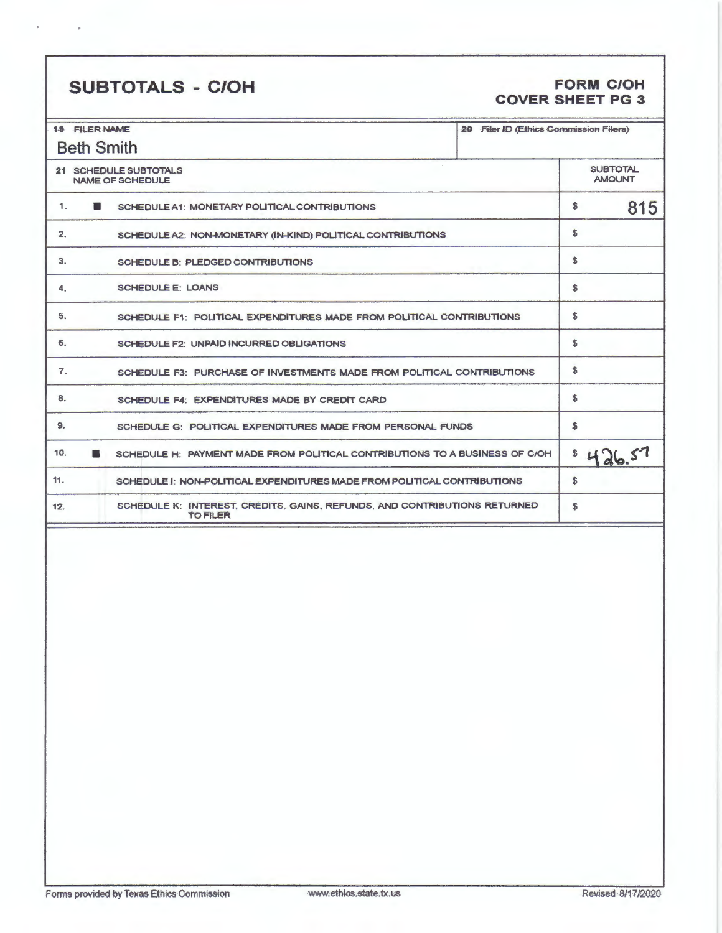# **SUBTOTALS** - **C/OH FORM C/OH**

# **COVER SHEET PG 3**

| <b>19 FILER NAME</b>                             |                                                                                              | 20 Filer ID (Ethics Commission Filers) |    |     |
|--------------------------------------------------|----------------------------------------------------------------------------------------------|----------------------------------------|----|-----|
| <b>Beth Smith</b>                                |                                                                                              |                                        |    |     |
| 21 SCHEDULE SUBTOTALS<br><b>NAME OF SCHEDULE</b> | <b>SUBTOTAL</b><br><b>AMOUNT</b>                                                             |                                        |    |     |
| 1.                                               | SCHEDULE A1: MONETARY POLITICAL CONTRIBUTIONS                                                |                                        | \$ | 815 |
| 2.                                               | SCHEDULE A2: NON-MONETARY (IN-KIND) POLITICAL CONTRIBUTIONS                                  |                                        | \$ |     |
| 3.                                               | <b>SCHEDULE B: PLEDGED CONTRIBUTIONS</b>                                                     |                                        | \$ |     |
| 4.                                               | <b>SCHEDULE E: LOANS</b>                                                                     |                                        | \$ |     |
| 5.                                               | SCHEDULE F1: POLITICAL EXPENDITURES MADE FROM POLITICAL CONTRIBUTIONS                        |                                        | \$ |     |
| 6.                                               | <b>SCHEDULE F2: UNPAID INCURRED OBLIGATIONS</b>                                              |                                        | \$ |     |
| 7.                                               | SCHEDULE F3: PURCHASE OF INVESTMENTS MADE FROM POLITICAL CONTRIBUTIONS                       |                                        | \$ |     |
| 8.                                               | SCHEDULE F4: EXPENDITURES MADE BY CREDIT CARD                                                |                                        | \$ |     |
| 9.                                               | SCHEDULE G: POLITICAL EXPENDITURES MADE FROM PERSONAL FUNDS                                  |                                        |    |     |
| 10.                                              | SCHEDULE H: PAYMENT MADE FROM POLITICAL CONTRIBUTIONS TO A BUSINESS OF C/OH                  |                                        |    |     |
| 11.                                              | SCHEDULE I: NON-POLITICAL EXPENDITURES MADE FROM POLITICAL CONTRIBUTIONS                     |                                        |    |     |
| 12.                                              | SCHEDULE K: INTEREST, CREDITS, GAINS, REFUNDS, AND CONTRIBUTIONS RETURNED<br><b>TO FILER</b> |                                        | \$ |     |
|                                                  |                                                                                              |                                        |    |     |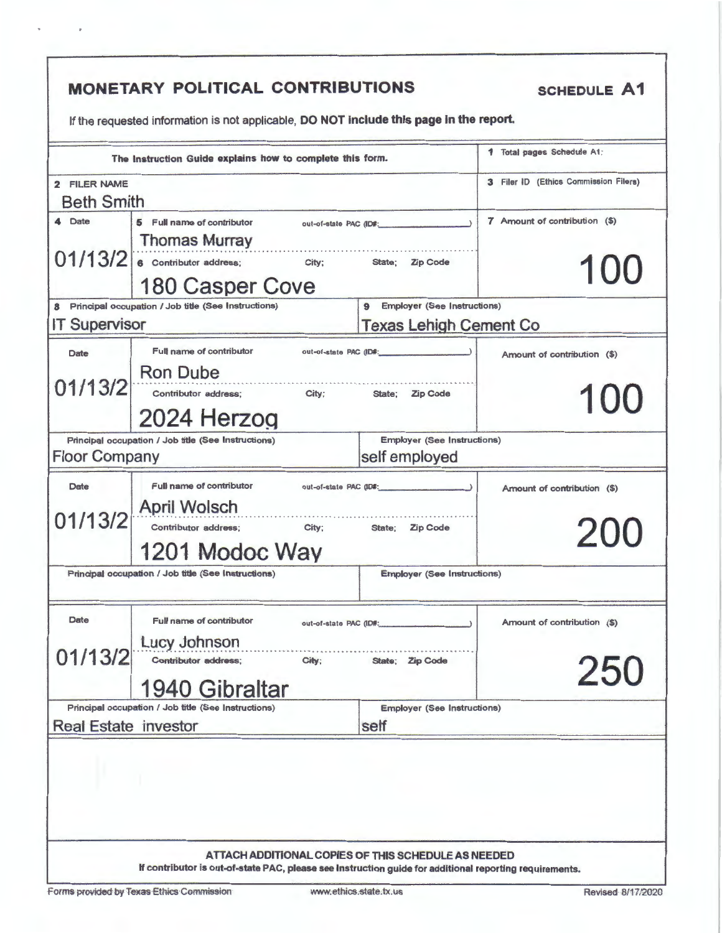| 2 FILER NAME<br><b>Beth Smith</b><br>7 Amount of contribution (\$)<br>4 Date<br>5 Full name of contributor<br>out-of-state PAC (ID#: \\\espices\)<br><b>Thomas Murray</b><br>State;<br>Zip Code<br><b>180 Casper Cove</b><br><b>Employer (See Instructions)</b><br>Principal occupation / Job title (See Instructions)<br>9<br><b>Texas Lehigh Cement Co</b><br>Full name of contributor<br>out-of-state PAC (ID#:<br>Date<br>Amount of contribution (\$)<br>State; Zip Code<br>2024 Herzog<br><b>Employer (See Instructions)</b><br>Principal occupation / Job title (See Instructions)<br>self employed<br>Full name of contributor<br>Date<br>out-of-state PAC (ID#:<br>Amount of contribution (\$)<br>Contributor address;<br>City;<br>200<br>State: Zip Code<br>1201 Modoc Way<br>Principal occupation / Job title (See Instructions)<br><b>Employer (See Instructions)</b><br>Date<br>Full name of contributor<br>Amount of contribution (\$)<br>out-of-state PAC (ID#:<br><b>Lucy Johnson</b><br>Contributor address;<br>City;<br>State: Zip Code<br>250<br>1940 Gibraltar<br>Principal occupation / Job title (See Instructions)<br><b>Employer (See Instructions)</b> |  | 3 Filer ID (Ethics Commission Filers)<br>100<br>100 |
|--------------------------------------------------------------------------------------------------------------------------------------------------------------------------------------------------------------------------------------------------------------------------------------------------------------------------------------------------------------------------------------------------------------------------------------------------------------------------------------------------------------------------------------------------------------------------------------------------------------------------------------------------------------------------------------------------------------------------------------------------------------------------------------------------------------------------------------------------------------------------------------------------------------------------------------------------------------------------------------------------------------------------------------------------------------------------------------------------------------------------------------------------------------------------------|--|-----------------------------------------------------|
| $01/13/2$ 6 Contributor address; City:<br><b>IT Supervisor</b><br>01/13/2 Ron Dube<br>contributor address; city; state; Zip Co<br><b>Floor Company</b><br>01/13/2 April Wolsch<br>01/13/2                                                                                                                                                                                                                                                                                                                                                                                                                                                                                                                                                                                                                                                                                                                                                                                                                                                                                                                                                                                      |  |                                                     |
|                                                                                                                                                                                                                                                                                                                                                                                                                                                                                                                                                                                                                                                                                                                                                                                                                                                                                                                                                                                                                                                                                                                                                                                |  |                                                     |
|                                                                                                                                                                                                                                                                                                                                                                                                                                                                                                                                                                                                                                                                                                                                                                                                                                                                                                                                                                                                                                                                                                                                                                                |  |                                                     |
|                                                                                                                                                                                                                                                                                                                                                                                                                                                                                                                                                                                                                                                                                                                                                                                                                                                                                                                                                                                                                                                                                                                                                                                |  |                                                     |
|                                                                                                                                                                                                                                                                                                                                                                                                                                                                                                                                                                                                                                                                                                                                                                                                                                                                                                                                                                                                                                                                                                                                                                                |  |                                                     |
|                                                                                                                                                                                                                                                                                                                                                                                                                                                                                                                                                                                                                                                                                                                                                                                                                                                                                                                                                                                                                                                                                                                                                                                |  |                                                     |
|                                                                                                                                                                                                                                                                                                                                                                                                                                                                                                                                                                                                                                                                                                                                                                                                                                                                                                                                                                                                                                                                                                                                                                                |  |                                                     |
|                                                                                                                                                                                                                                                                                                                                                                                                                                                                                                                                                                                                                                                                                                                                                                                                                                                                                                                                                                                                                                                                                                                                                                                |  |                                                     |
|                                                                                                                                                                                                                                                                                                                                                                                                                                                                                                                                                                                                                                                                                                                                                                                                                                                                                                                                                                                                                                                                                                                                                                                |  |                                                     |
|                                                                                                                                                                                                                                                                                                                                                                                                                                                                                                                                                                                                                                                                                                                                                                                                                                                                                                                                                                                                                                                                                                                                                                                |  |                                                     |
|                                                                                                                                                                                                                                                                                                                                                                                                                                                                                                                                                                                                                                                                                                                                                                                                                                                                                                                                                                                                                                                                                                                                                                                |  |                                                     |
|                                                                                                                                                                                                                                                                                                                                                                                                                                                                                                                                                                                                                                                                                                                                                                                                                                                                                                                                                                                                                                                                                                                                                                                |  |                                                     |
|                                                                                                                                                                                                                                                                                                                                                                                                                                                                                                                                                                                                                                                                                                                                                                                                                                                                                                                                                                                                                                                                                                                                                                                |  |                                                     |
|                                                                                                                                                                                                                                                                                                                                                                                                                                                                                                                                                                                                                                                                                                                                                                                                                                                                                                                                                                                                                                                                                                                                                                                |  |                                                     |
|                                                                                                                                                                                                                                                                                                                                                                                                                                                                                                                                                                                                                                                                                                                                                                                                                                                                                                                                                                                                                                                                                                                                                                                |  |                                                     |
|                                                                                                                                                                                                                                                                                                                                                                                                                                                                                                                                                                                                                                                                                                                                                                                                                                                                                                                                                                                                                                                                                                                                                                                |  |                                                     |
|                                                                                                                                                                                                                                                                                                                                                                                                                                                                                                                                                                                                                                                                                                                                                                                                                                                                                                                                                                                                                                                                                                                                                                                |  |                                                     |
|                                                                                                                                                                                                                                                                                                                                                                                                                                                                                                                                                                                                                                                                                                                                                                                                                                                                                                                                                                                                                                                                                                                                                                                |  |                                                     |
|                                                                                                                                                                                                                                                                                                                                                                                                                                                                                                                                                                                                                                                                                                                                                                                                                                                                                                                                                                                                                                                                                                                                                                                |  |                                                     |
|                                                                                                                                                                                                                                                                                                                                                                                                                                                                                                                                                                                                                                                                                                                                                                                                                                                                                                                                                                                                                                                                                                                                                                                |  |                                                     |
|                                                                                                                                                                                                                                                                                                                                                                                                                                                                                                                                                                                                                                                                                                                                                                                                                                                                                                                                                                                                                                                                                                                                                                                |  |                                                     |
|                                                                                                                                                                                                                                                                                                                                                                                                                                                                                                                                                                                                                                                                                                                                                                                                                                                                                                                                                                                                                                                                                                                                                                                |  |                                                     |
|                                                                                                                                                                                                                                                                                                                                                                                                                                                                                                                                                                                                                                                                                                                                                                                                                                                                                                                                                                                                                                                                                                                                                                                |  |                                                     |
|                                                                                                                                                                                                                                                                                                                                                                                                                                                                                                                                                                                                                                                                                                                                                                                                                                                                                                                                                                                                                                                                                                                                                                                |  |                                                     |
|                                                                                                                                                                                                                                                                                                                                                                                                                                                                                                                                                                                                                                                                                                                                                                                                                                                                                                                                                                                                                                                                                                                                                                                |  |                                                     |
|                                                                                                                                                                                                                                                                                                                                                                                                                                                                                                                                                                                                                                                                                                                                                                                                                                                                                                                                                                                                                                                                                                                                                                                |  |                                                     |
| <b>Real Estate investor</b><br>self                                                                                                                                                                                                                                                                                                                                                                                                                                                                                                                                                                                                                                                                                                                                                                                                                                                                                                                                                                                                                                                                                                                                            |  |                                                     |